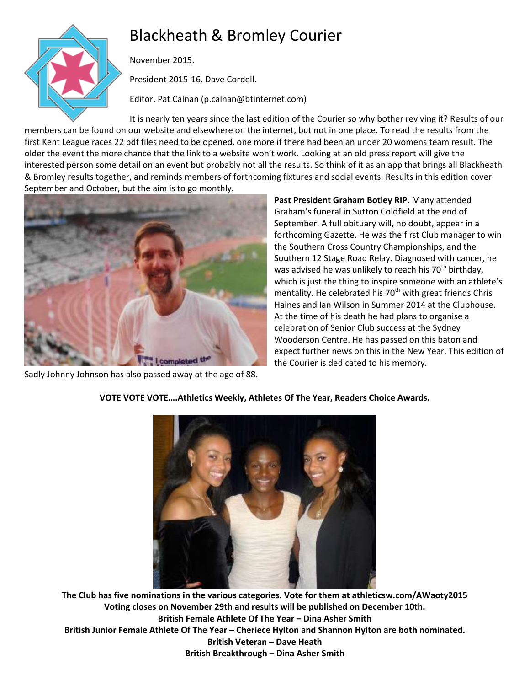# Blackheath & Bromley Courier



November 2015.

President 2015-16. Dave Cordell.

Editor. Pat Calnan (p.calnan@btinternet.com)

It is nearly ten years since the last edition of the Courier so why bother reviving it? Results of our members can be found on our website and elsewhere on the internet, but not in one place. To read the results from the first Kent League races 22 pdf files need to be opened, one more if there had been an under 20 womens team result. The older the event the more chance that the link to a website won't work. Looking at an old press report will give the interested person some detail on an event but probably not all the results. So think of it as an app that brings all Blackheath & Bromley results together, and reminds members of forthcoming fixtures and social events. Results in this edition cover September and October, but the aim is to go monthly.



Sadly Johnny Johnson has also passed away at the age of 88.

**Past President Graham Botley RIP**. Many attended Graham's funeral in Sutton Coldfield at the end of September. A full obituary will, no doubt, appear in a forthcoming Gazette. He was the first Club manager to win the Southern Cross Country Championships, and the Southern 12 Stage Road Relay. Diagnosed with cancer, he was advised he was unlikely to reach his  $70<sup>th</sup>$  birthday, which is just the thing to inspire someone with an athlete's mentality. He celebrated his  $70<sup>th</sup>$  with great friends Chris Haines and Ian Wilson in Summer 2014 at the Clubhouse. At the time of his death he had plans to organise a celebration of Senior Club success at the Sydney Wooderson Centre. He has passed on this baton and expect further news on this in the New Year. This edition of the Courier is dedicated to his memory.



# **VOTE VOTE VOTE….Athletics Weekly, Athletes Of The Year, Readers Choice Awards.**

**The Club has five nominations in the various categories. Vote for them at athleticsw.com/AWaoty2015 Voting closes on November 29th and results will be published on December 10th. British Female Athlete Of The Year – Dina Asher Smith British Junior Female Athlete Of The Year – Cheriece Hylton and Shannon Hylton are both nominated. British Veteran – Dave Heath British Breakthrough – Dina Asher Smith**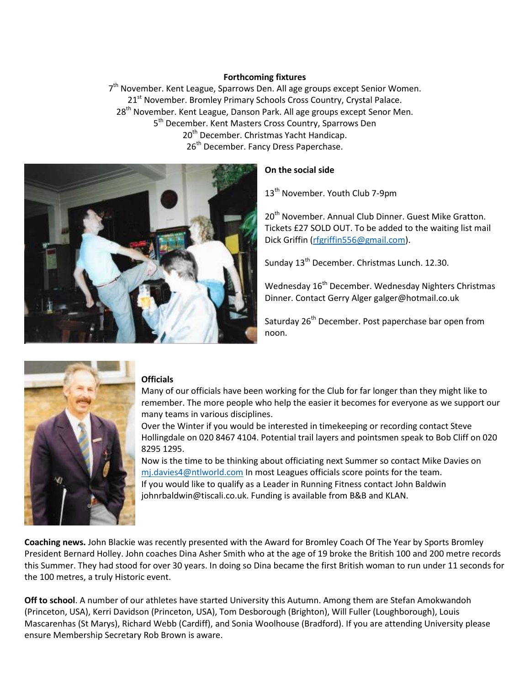#### **Forthcoming fixtures**

7<sup>th</sup> November. Kent League, Sparrows Den. All age groups except Senior Women. 21<sup>st</sup> November. Bromley Primary Schools Cross Country, Crystal Palace. 28<sup>th</sup> November. Kent League, Danson Park. All age groups except Senor Men. 5<sup>th</sup> December. Kent Masters Cross Country, Sparrows Den 20<sup>th</sup> December. Christmas Yacht Handicap. 26<sup>th</sup> December. Fancy Dress Paperchase.



## **On the social side**

13<sup>th</sup> November. Youth Club 7-9pm

20<sup>th</sup> November. Annual Club Dinner. Guest Mike Gratton. Tickets £27 SOLD OUT. To be added to the waiting list mail Dick Griffin [\(rfgriffin556@gmail.com\)](mailto:rfgriffin556@gmail.com).

Sunday 13<sup>th</sup> December. Christmas Lunch. 12.30.

Wednesday 16<sup>th</sup> December. Wednesday Nighters Christmas Dinner. Contact Gerry Alger galger@hotmail.co.uk

Saturday 26<sup>th</sup> December. Post paperchase bar open from noon.



### **Officials**

Many of our officials have been working for the Club for far longer than they might like to remember. The more people who help the easier it becomes for everyone as we support our many teams in various disciplines.

Over the Winter if you would be interested in timekeeping or recording contact Steve Hollingdale on 020 8467 4104. Potential trail layers and pointsmen speak to Bob Cliff on 020 8295 1295.

Now is the time to be thinking about officiating next Summer so contact Mike Davies on [mj.davies4@ntlworld.com](mailto:mj.davies4@ntlworld.com) In most Leagues officials score points for the team. If you would like to qualify as a Leader in Running Fitness contact John Baldwin johnrbaldwin@tiscali.co.uk. Funding is available from B&B and KLAN.

**Coaching news.** John Blackie was recently presented with the Award for Bromley Coach Of The Year by Sports Bromley President Bernard Holley. John coaches Dina Asher Smith who at the age of 19 broke the British 100 and 200 metre records this Summer. They had stood for over 30 years. In doing so Dina became the first British woman to run under 11 seconds for the 100 metres, a truly Historic event.

**Off to school**. A number of our athletes have started University this Autumn. Among them are Stefan Amokwandoh (Princeton, USA), Kerri Davidson (Princeton, USA), Tom Desborough (Brighton), Will Fuller (Loughborough), Louis Mascarenhas (St Marys), Richard Webb (Cardiff), and Sonia Woolhouse (Bradford). If you are attending University please ensure Membership Secretary Rob Brown is aware.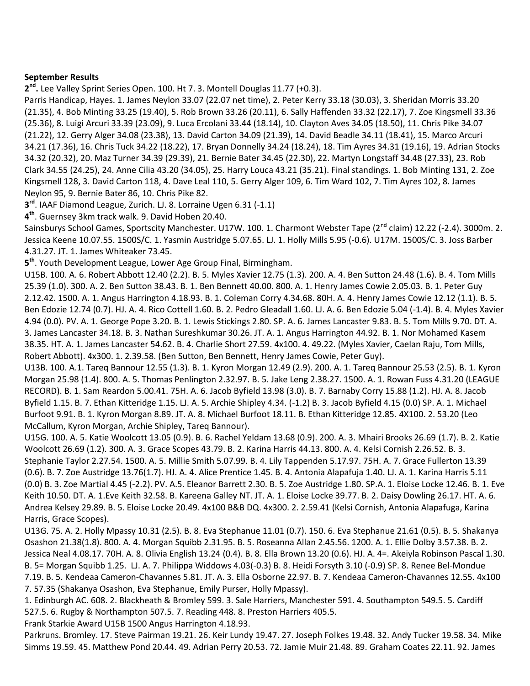## **September Results**

**2 nd .** Lee Valley Sprint Series Open. 100. Ht 7. 3. Montell Douglas 11.77 (+0.3).

Parris Handicap, Hayes. 1. James Neylon 33.07 (22.07 net time), 2. Peter Kerry 33.18 (30.03), 3. Sheridan Morris 33.20 (21.35), 4. Bob Minting 33.25 (19.40), 5. Rob Brown 33.26 (20.11), 6. Sally Haffenden 33.32 (22.17), 7. Zoe Kingsmell 33.36 (25.36), 8. Luigi Arcuri 33.39 (23.09), 9. Luca Ercolani 33.44 (18.14), 10. Clayton Aves 34.05 (18.50), 11. Chris Pike 34.07 (21.22), 12. Gerry Alger 34.08 (23.38), 13. David Carton 34.09 (21.39), 14. David Beadle 34.11 (18.41), 15. Marco Arcuri 34.21 (17.36), 16. Chris Tuck 34.22 (18.22), 17. Bryan Donnelly 34.24 (18.24), 18. Tim Ayres 34.31 (19.16), 19. Adrian Stocks 34.32 (20.32), 20. Maz Turner 34.39 (29.39), 21. Bernie Bater 34.45 (22.30), 22. Martyn Longstaff 34.48 (27.33), 23. Rob Clark 34.55 (24.25), 24. Anne Cilia 43.20 (34.05), 25. Harry Louca 43.21 (35.21). Final standings. 1. Bob Minting 131, 2. Zoe Kingsmell 128, 3. David Carton 118, 4. Dave Leal 110, 5. Gerry Alger 109, 6. Tim Ward 102, 7. Tim Ayres 102, 8. James Neylon 95, 9. Bernie Bater 86, 10. Chris Pike 82.

**3 rd**. IAAF Diamond League, Zurich. LJ. 8. Lorraine Ugen 6.31 (-1.1)

**4 th**. Guernsey 3km track walk. 9. David Hoben 20.40.

Sainsburys School Games, Sportscity Manchester. U17W. 100. 1. Charmont Webster Tape (2<sup>nd</sup> claim) 12.22 (-2.4). 3000m. 2. Jessica Keene 10.07.55. 1500S/C. 1. Yasmin Austridge 5.07.65. LJ. 1. Holly Mills 5.95 (-0.6). U17M. 1500S/C. 3. Joss Barber 4.31.27. JT. 1. James Whiteaker 73.45.

**5 th**. Youth Development League, Lower Age Group Final, Birmingham.

U15B. 100. A. 6. Robert Abbott 12.40 (2.2). B. 5. Myles Xavier 12.75 (1.3). 200. A. 4. Ben Sutton 24.48 (1.6). B. 4. Tom Mills 25.39 (1.0). 300. A. 2. Ben Sutton 38.43. B. 1. Ben Bennett 40.00. 800. A. 1. Henry James Cowie 2.05.03. B. 1. Peter Guy 2.12.42. 1500. A. 1. Angus Harrington 4.18.93. B. 1. Coleman Corry 4.34.68. 80H. A. 4. Henry James Cowie 12.12 (1.1). B. 5. Ben Edozie 12.74 (0.7). HJ. A. 4. Rico Cottell 1.60. B. 2. Pedro Gleadall 1.60. LJ. A. 6. Ben Edozie 5.04 (-1.4). B. 4. Myles Xavier 4.94 (0.0). PV. A. 1. George Pope 3.20. B. 1. Lewis Stickings 2.80. SP. A. 6. James Lancaster 9.83. B. 5. Tom Mills 9.70. DT. A. 3. James Lancaster 34.18. B. 3. Nathan Sureshkumar 30.26. JT. A. 1. Angus Harrington 44.92. B. 1. Nor Mohamed Kasem 38.35. HT. A. 1. James Lancaster 54.62. B. 4. Charlie Short 27.59. 4x100. 4. 49.22. (Myles Xavier, Caelan Raju, Tom Mills, Robert Abbott). 4x300. 1. 2.39.58. (Ben Sutton, Ben Bennett, Henry James Cowie, Peter Guy).

U13B. 100. A.1. Tareq Bannour 12.55 (1.3). B. 1. Kyron Morgan 12.49 (2.9). 200. A. 1. Tareq Bannour 25.53 (2.5). B. 1. Kyron Morgan 25.98 (1.4). 800. A. 5. Thomas Penlington 2.32.97. B. 5. Jake Leng 2.38.27. 1500. A. 1. Rowan Fuss 4.31.20 (LEAGUE RECORD). B. 1. Sam Reardon 5.00.41. 75H. A. 6. Jacob Byfield 13.98 (3.0). B. 7. Barnaby Corry 15.88 (1.2). HJ. A. 8. Jacob Byfield 1.15. B. 7. Ethan Kitteridge 1.15. LJ. A. 5. Archie Shipley 4.34. (-1.2) B. 3. Jacob Byfield 4.15 (0.0) SP. A. 1. Michael Burfoot 9.91. B. 1. Kyron Morgan 8.89. JT. A. 8. Michael Burfoot 18.11. B. Ethan Kitteridge 12.85. 4X100. 2. 53.20 (Leo McCallum, Kyron Morgan, Archie Shipley, Tareq Bannour).

U15G. 100. A. 5. Katie Woolcott 13.05 (0.9). B. 6. Rachel Yeldam 13.68 (0.9). 200. A. 3. Mhairi Brooks 26.69 (1.7). B. 2. Katie Woolcott 26.69 (1.2). 300. A. 3. Grace Scopes 43.79. B. 2. Karina Harris 44.13. 800. A. 4. Kelsi Cornish 2.26.52. B. 3. Stephanie Taylor 2.27.54. 1500. A. 5. Millie Smith 5.07.99. B. 4. Lily Tappenden 5.17.97. 75H. A. 7. Grace Fullerton 13.39 (0.6). B. 7. Zoe Austridge 13.76(1.7). HJ. A. 4. Alice Prentice 1.45. B. 4. Antonia Alapafuja 1.40. LJ. A. 1. Karina Harris 5.11 (0.0) B. 3. Zoe Martial 4.45 (-2.2). PV. A.5. Eleanor Barrett 2.30. B. 5. Zoe Austridge 1.80. SP.A. 1. Eloise Locke 12.46. B. 1. Eve Keith 10.50. DT. A. 1.Eve Keith 32.58. B. Kareena Galley NT. JT. A. 1. Eloise Locke 39.77. B. 2. Daisy Dowling 26.17. HT. A. 6. Andrea Kelsey 29.89. B. 5. Eloise Locke 20.49. 4x100 B&B DQ. 4x300. 2. 2.59.41 (Kelsi Cornish, Antonia Alapafuga, Karina Harris, Grace Scopes).

U13G. 75. A. 2. Holly Mpassy 10.31 (2.5). B. 8. Eva Stephanue 11.01 (0.7). 150. 6. Eva Stephanue 21.61 (0.5). B. 5. Shakanya Osashon 21.38(1.8). 800. A. 4. Morgan Squibb 2.31.95. B. 5. Roseanna Allan 2.45.56. 1200. A. 1. Ellie Dolby 3.57.38. B. 2. Jessica Neal 4.08.17. 70H. A. 8. Olivia English 13.24 (0.4). B. 8. Ella Brown 13.20 (0.6). HJ. A. 4=. Akeiyla Robinson Pascal 1.30. B. 5= Morgan Squibb 1.25. LJ. A. 7. Philippa Widdows 4.03(-0.3) B. 8. Heidi Forsyth 3.10 (-0.9) SP. 8. Renee Bel-Mondue 7.19. B. 5. Kendeaa Cameron-Chavannes 5.81. JT. A. 3. Ella Osborne 22.97. B. 7. Kendeaa Cameron-Chavannes 12.55. 4x100 7. 57.35 (Shakanya Osashon, Eva Stephanue, Emily Purser, Holly Mpassy).

1. Edinburgh AC. 608. 2. Blackheath & Bromley 599. 3. Sale Harriers, Manchester 591. 4. Southampton 549.5. 5. Cardiff 527.5. 6. Rugby & Northampton 507.5. 7. Reading 448. 8. Preston Harriers 405.5.

Frank Starkie Award U15B 1500 Angus Harrington 4.18.93.

Parkruns. Bromley. 17. Steve Pairman 19.21. 26. Keir Lundy 19.47. 27. Joseph Folkes 19.48. 32. Andy Tucker 19.58. 34. Mike Simms 19.59. 45. Matthew Pond 20.44. 49. Adrian Perry 20.53. 72. Jamie Muir 21.48. 89. Graham Coates 22.11. 92. James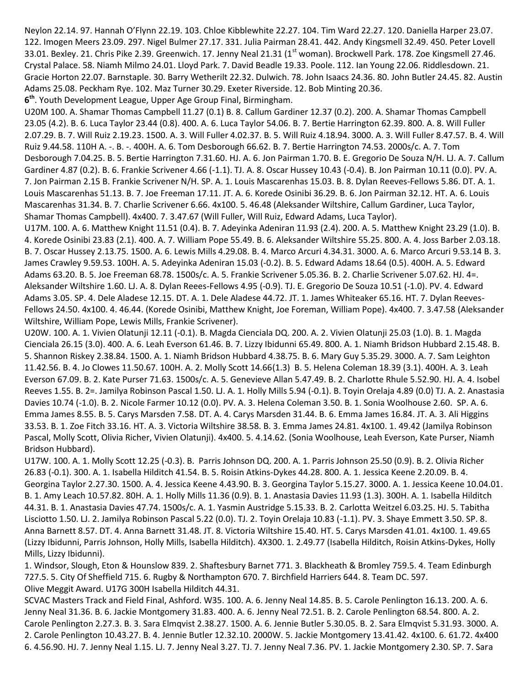Neylon 22.14. 97. Hannah O'Flynn 22.19. 103. Chloe Kibblewhite 22.27. 104. Tim Ward 22.27. 120. Daniella Harper 23.07. 122. Imogen Meers 23.09. 297. Nigel Bulmer 27.17. 331. Julia Pairman 28.41. 442. Andy Kingsmell 32.49. 450. Peter Lovell 33.01. Bexley. 21. Chris Pike 2.39. Greenwich. 17. Jenny Neal 21.31 (1<sup>st</sup> woman). Brockwell Park. 178. Zoe Kingsmell 27.46. Crystal Palace. 58. Niamh Milmo 24.01. Lloyd Park. 7. David Beadle 19.33. Poole. 112. Ian Young 22.06. Riddlesdown. 21. Gracie Horton 22.07. Barnstaple. 30. Barry Wetherilt 22.32. Dulwich. 78. John Isaacs 24.36. 80. John Butler 24.45. 82. Austin Adams 25.08. Peckham Rye. 102. Maz Turner 30.29. Exeter Riverside. 12. Bob Minting 20.36.

**6 th**. Youth Development League, Upper Age Group Final, Birmingham.

U20M 100. A. Shamar Thomas Campbell 11.27 (0.1) B. 8. Callum Gardiner 12.37 (0.2). 200. A. Shamar Thomas Campbell 23.05 (4.2). B. 6. Luca Taylor 23.44 (0.8). 400. A. 6. Luca Taylor 54.06. B. 7. Bertie Harrington 62.39. 800. A. 8. Will Fuller 2.07.29. B. 7. Will Ruiz 2.19.23. 1500. A. 3. Will Fuller 4.02.37. B. 5. Will Ruiz 4.18.94. 3000. A. 3. Will Fuller 8.47.57. B. 4. Will Ruiz 9.44.58. 110H A. -. B. -. 400H. A. 6. Tom Desborough 66.62. B. 7. Bertie Harrington 74.53. 2000s/c. A. 7. Tom Desborough 7.04.25. B. 5. Bertie Harrington 7.31.60. HJ. A. 6. Jon Pairman 1.70. B. E. Gregorio De Souza N/H. LJ. A. 7. Callum Gardiner 4.87 (0.2). B. 6. Frankie Scrivener 4.66 (-1.1). TJ. A. 8. Oscar Hussey 10.43 (-0.4). B. Jon Pairman 10.11 (0.0). PV. A. 7. Jon Pairman 2.15 B. Frankie Scrivener N/H. SP. A. 1. Louis Mascarenhas 15.03. B. 8. Dylan Reeves-Fellows 5.86. DT. A. 1. Louis Mascarenhas 51.13. B. 7. Joe Freeman 17.11. JT. A. 6. Korede Osinibi 36.29. B. 6. Jon Pairman 32.12. HT. A. 6. Louis Mascarenhas 31.34. B. 7. Charlie Scrivener 6.66. 4x100. 5. 46.48 (Aleksander Wiltshire, Callum Gardiner, Luca Taylor, Shamar Thomas Campbell). 4x400. 7. 3.47.67 (Will Fuller, Will Ruiz, Edward Adams, Luca Taylor).

U17M. 100. A. 6. Matthew Knight 11.51 (0.4). B. 7. Adeyinka Adeniran 11.93 (2.4). 200. A. 5. Matthew Knight 23.29 (1.0). B. 4. Korede Osinibi 23.83 (2.1). 400. A. 7. William Pope 55.49. B. 6. Aleksander Wiltshire 55.25. 800. A. 4. Joss Barber 2.03.18. B. 7. Oscar Hussey 2.13.75. 1500. A. 6. Lewis Mills 4.29.08. B. 4. Marco Arcuri 4.34.31. 3000. A. 6. Marco Arcuri 9.53.14 B. 3. James Crawley 9.59.53. 100H. A. 5. Adeyinka Adeniran 15.03 (-0.2). B. 5. Edward Adams 18.64 (0.5). 400H. A. 5. Edward Adams 63.20. B. 5. Joe Freeman 68.78. 1500s/c. A. 5. Frankie Scrivener 5.05.36. B. 2. Charlie Scrivener 5.07.62. HJ. 4=. Aleksander Wiltshire 1.60. LJ. A. 8. Dylan Reees-Fellows 4.95 (-0.9). TJ. E. Gregorio De Souza 10.51 (-1.0). PV. 4. Edward Adams 3.05. SP. 4. Dele Aladese 12.15. DT. A. 1. Dele Aladese 44.72. JT. 1. James Whiteaker 65.16. HT. 7. Dylan Reeves-Fellows 24.50. 4x100. 4. 46.44. (Korede Osinibi, Matthew Knight, Joe Foreman, William Pope). 4x400. 7. 3.47.58 (Aleksander Wiltshire, William Pope, Lewis Mills, Frankie Scrivener).

U20W. 100. A. 1. Vivien Olatunji 12.11 (-0.1). B. Magda Cienciala DQ. 200. A. 2. Vivien Olatunji 25.03 (1.0). B. 1. Magda Cienciala 26.15 (3.0). 400. A. 6. Leah Everson 61.46. B. 7. Lizzy Ibidunni 65.49. 800. A. 1. Niamh Bridson Hubbard 2.15.48. B. 5. Shannon Riskey 2.38.84. 1500. A. 1. Niamh Bridson Hubbard 4.38.75. B. 6. Mary Guy 5.35.29. 3000. A. 7. Sam Leighton 11.42.56. B. 4. Jo Clowes 11.50.67. 100H. A. 2. Molly Scott 14.66(1.3) B. 5. Helena Coleman 18.39 (3.1). 400H. A. 3. Leah Everson 67.09. B. 2. Kate Purser 71.63. 1500s/c. A. 5. Genevieve Allan 5.47.49. B. 2. Charlotte Rhule 5.52.90. HJ. A. 4. Isobel Reeves 1.55. B. 2=. Jamilya Robinson Pascal 1.50. LJ. A. 1. Holly Mills 5.94 (-0.1). B. Toyin Orelaja 4.89 (0.0) TJ. A. 2. Anastasia Davies 10.74 (-1.0). B. 2. Nicole Farmer 10.12 (0.0). PV. A. 3. Helena Coleman 3.50. B. 1. Sonia Woolhouse 2.60. SP. A. 6. Emma James 8.55. B. 5. Carys Marsden 7.58. DT. A. 4. Carys Marsden 31.44. B. 6. Emma James 16.84. JT. A. 3. Ali Higgins 33.53. B. 1. Zoe Fitch 33.16. HT. A. 3. Victoria Wiltshire 38.58. B. 3. Emma James 24.81. 4x100. 1. 49.42 (Jamilya Robinson Pascal, Molly Scott, Olivia Richer, Vivien Olatunji). 4x400. 5. 4.14.62. (Sonia Woolhouse, Leah Everson, Kate Purser, Niamh Bridson Hubbard).

U17W. 100. A. 1. Molly Scott 12.25 (-0.3). B. Parris Johnson DQ. 200. A. 1. Parris Johnson 25.50 (0.9). B. 2. Olivia Richer 26.83 (-0.1). 300. A. 1. Isabella Hilditch 41.54. B. 5. Roisin Atkins-Dykes 44.28. 800. A. 1. Jessica Keene 2.20.09. B. 4. Georgina Taylor 2.27.30. 1500. A. 4. Jessica Keene 4.43.90. B. 3. Georgina Taylor 5.15.27. 3000. A. 1. Jessica Keene 10.04.01. B. 1. Amy Leach 10.57.82. 80H. A. 1. Holly Mills 11.36 (0.9). B. 1. Anastasia Davies 11.93 (1.3). 300H. A. 1. Isabella Hilditch 44.31. B. 1. Anastasia Davies 47.74. 1500s/c. A. 1. Yasmin Austridge 5.15.33. B. 2. Carlotta Weitzel 6.03.25. HJ. 5. Tabitha Lisciotto 1.50. LJ. 2. Jamilya Robinson Pascal 5.22 (0.0). TJ. 2. Toyin Orelaja 10.83 (-1.1). PV. 3. Shaye Emmett 3.50. SP. 8. Anna Barnett 8.57. DT. 4. Anna Barnett 31.48. JT. 8. Victoria Wiltshire 15.40. HT. 5. Carys Marsden 41.01. 4x100. 1. 49.65 (Lizzy Ibidunni, Parris Johnson, Holly Mills, Isabella Hilditch). 4X300. 1. 2.49.77 (Isabella Hilditch, Roisin Atkins-Dykes, Holly Mills, Lizzy Ibidunni).

1. Windsor, Slough, Eton & Hounslow 839. 2. Shaftesbury Barnet 771. 3. Blackheath & Bromley 759.5. 4. Team Edinburgh 727.5. 5. City Of Sheffield 715. 6. Rugby & Northampton 670. 7. Birchfield Harriers 644. 8. Team DC. 597. Olive Meggit Award. U17G 300H Isabella Hilditch 44.31.

SCVAC Masters Track and Field Final, Ashford. W35. 100. A. 6. Jenny Neal 14.85. B. 5. Carole Penlington 16.13. 200. A. 6. Jenny Neal 31.36. B. 6. Jackie Montgomery 31.83. 400. A. 6. Jenny Neal 72.51. B. 2. Carole Penlington 68.54. 800. A. 2. Carole Penlington 2.27.3. B. 3. Sara Elmqvist 2.38.27. 1500. A. 6. Jennie Butler 5.30.05. B. 2. Sara Elmqvist 5.31.93. 3000. A. 2. Carole Penlington 10.43.27. B. 4. Jennie Butler 12.32.10. 2000W. 5. Jackie Montgomery 13.41.42. 4x100. 6. 61.72. 4x400 6. 4.56.90. HJ. 7. Jenny Neal 1.15. LJ. 7. Jenny Neal 3.27. TJ. 7. Jenny Neal 7.36. PV. 1. Jackie Montgomery 2.30. SP. 7. Sara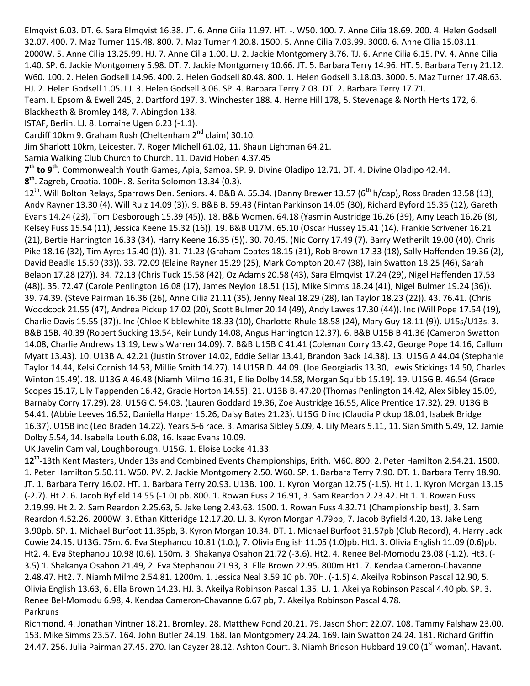Elmqvist 6.03. DT. 6. Sara Elmqvist 16.38. JT. 6. Anne Cilia 11.97. HT. -. W50. 100. 7. Anne Cilia 18.69. 200. 4. Helen Godsell 32.07. 400. 7. Maz Turner 115.48. 800. 7. Maz Turner 4.20.8. 1500. 5. Anne Cilia 7.03.99. 3000. 6. Anne Cilia 15.03.11. 2000W. 5. Anne Cilia 13.25.99. HJ. 7. Anne Cilia 1.00. LJ. 2. Jackie Montgomery 3.76. TJ. 6. Anne Cilia 6.15. PV. 4. Anne Cilia 1.40. SP. 6. Jackie Montgomery 5.98. DT. 7. Jackie Montgomery 10.66. JT. 5. Barbara Terry 14.96. HT. 5. Barbara Terry 21.12. W60. 100. 2. Helen Godsell 14.96. 400. 2. Helen Godsell 80.48. 800. 1. Helen Godsell 3.18.03. 3000. 5. Maz Turner 17.48.63. HJ. 2. Helen Godsell 1.05. LJ. 3. Helen Godsell 3.06. SP. 4. Barbara Terry 7.03. DT. 2. Barbara Terry 17.71.

Team. I. Epsom & Ewell 245, 2. Dartford 197, 3. Winchester 188. 4. Herne Hill 178, 5. Stevenage & North Herts 172, 6.

Blackheath & Bromley 148, 7. Abingdon 138.

ISTAF, Berlin. LJ. 8. Lorraine Ugen 6.23 (-1.1).

Cardiff 10km 9. Graham Rush (Cheltenham 2<sup>nd</sup> claim) 30.10.

Jim Sharlott 10km, Leicester. 7. Roger Michell 61.02, 11. Shaun Lightman 64.21.

Sarnia Walking Club Church to Church. 11. David Hoben 4.37.45

**7 th to 9th**. Commonwealth Youth Games, Apia, Samoa. SP. 9. Divine Oladipo 12.71, DT. 4. Divine Oladipo 42.44.

**8 th**. Zagreb, Croatia. 100H. 8. Serita Solomon 13.34 (0.3).

12<sup>th</sup>. Will Bolton Relays, Sparrows Den. Seniors. 4. B&B A. 55.34. (Danny Brewer 13.57 (6<sup>th</sup> h/cap), Ross Braden 13.58 (13), Andy Rayner 13.30 (4), Will Ruiz 14.09 (3)). 9. B&B B. 59.43 (Fintan Parkinson 14.05 (30), Richard Byford 15.35 (12), Gareth Evans 14.24 (23), Tom Desborough 15.39 (45)). 18. B&B Women. 64.18 (Yasmin Austridge 16.26 (39), Amy Leach 16.26 (8), Kelsey Fuss 15.54 (11), Jessica Keene 15.32 (16)). 19. B&B U17M. 65.10 (Oscar Hussey 15.41 (14), Frankie Scrivener 16.21 (21), Bertie Harrington 16.33 (34), Harry Keene 16.35 (5)). 30. 70.45. (Nic Corry 17.49 (7), Barry Wetherilt 19.00 (40), Chris Pike 18.16 (32), Tim Ayres 15.40 (1)). 31. 71.23 (Graham Coates 18.15 (31), Rob Brown 17.33 (18), Sally Haffenden 19.36 (2), David Beadle 15.59 (33)). 33. 72.09 (Elaine Rayner 15.29 (25), Mark Compton 20.47 (38), Iain Swatton 18.25 (46), Sarah Belaon 17.28 (27)). 34. 72.13 (Chris Tuck 15.58 (42), Oz Adams 20.58 (43), Sara Elmqvist 17.24 (29), Nigel Haffenden 17.53 (48)). 35. 72.47 (Carole Penlington 16.08 (17), James Neylon 18.51 (15), Mike Simms 18.24 (41), Nigel Bulmer 19.24 (36)). 39. 74.39. (Steve Pairman 16.36 (26), Anne Cilia 21.11 (35), Jenny Neal 18.29 (28), Ian Taylor 18.23 (22)). 43. 76.41. (Chris Woodcock 21.55 (47), Andrea Pickup 17.02 (20), Scott Bulmer 20.14 (49), Andy Lawes 17.30 (44)). Inc (Will Pope 17.54 (19), Charlie Davis 15.55 (37)). Inc (Chloe Kibblewhite 18.33 (10), Charlotte Rhule 18.58 (24), Mary Guy 18.11 (9)). U15s/U13s. 3. B&B 15B. 40.39 (Robert Sucking 13.54, Keir Lundy 14.08, Angus Harrington 12.37). 6. B&B U15B B 41.36 (Cameron Swatton 14.08, Charlie Andrews 13.19, Lewis Warren 14.09). 7. B&B U15B C 41.41 (Coleman Corry 13.42, George Pope 14.16, Callum Myatt 13.43). 10. U13B A. 42.21 (Justin Strover 14.02, Eddie Sellar 13.41, Brandon Back 14.38). 13. U15G A 44.04 (Stephanie Taylor 14.44, Kelsi Cornish 14.53, Millie Smith 14.27). 14 U15B D. 44.09. (Joe Georgiadis 13.30, Lewis Stickings 14.50, Charles Winton 15.49). 18. U13G A 46.48 (Niamh Milmo 16.31, Ellie Dolby 14.58, Morgan Squibb 15.19). 19. U15G B. 46.54 (Grace Scopes 15.17, Lily Tappenden 16.42, Gracie Horton 14.55). 21. U13B B. 47.20 (Thomas Penlington 14.42, Alex Sibley 15.09, Barnaby Corry 17.29). 28. U15G C. 54.03. (Lauren Goddard 19.36, Zoe Austridge 16.55, Alice Prentice 17.32). 29. U13G B 54.41. (Abbie Leeves 16.52, Daniella Harper 16.26, Daisy Bates 21.23). U15G D inc (Claudia Pickup 18.01, Isabek Bridge 16.37). U15B inc (Leo Braden 14.22). Years 5-6 race. 3. Amarisa Sibley 5.09, 4. Lily Mears 5.11, 11. Sian Smith 5.49, 12. Jamie Dolby 5.54, 14. Isabella Louth 6.08, 16. Isaac Evans 10.09.

UK Javelin Carnival, Loughborough. U15G. 1. Eloise Locke 41.33.

**12th -**13th Kent Masters, Under 13s and Combined Events Championships, Erith. M60. 800. 2. Peter Hamilton 2.54.21. 1500. 1. Peter Hamilton 5.50.11. W50. PV. 2. Jackie Montgomery 2.50. W60. SP. 1. Barbara Terry 7.90. DT. 1. Barbara Terry 18.90. JT. 1. Barbara Terry 16.02. HT. 1. Barbara Terry 20.93. U13B. 100. 1. Kyron Morgan 12.75 (-1.5). Ht 1. 1. Kyron Morgan 13.15 (-2.7). Ht 2. 6. Jacob Byfield 14.55 (-1.0) pb. 800. 1. Rowan Fuss 2.16.91, 3. Sam Reardon 2.23.42. Ht 1. 1. Rowan Fuss 2.19.99. Ht 2. 2. Sam Reardon 2.25.63, 5. Jake Leng 2.43.63. 1500. 1. Rowan Fuss 4.32.71 (Championship best), 3. Sam Reardon 4.52.26. 2000W. 3. Ethan Kitteridge 12.17.20. LJ. 3. Kyron Morgan 4.79pb, 7. Jacob Byfield 4.20, 13. Jake Leng 3.90pb. SP. 1. Michael Burfoot 11.35pb, 3. Kyron Morgan 10.34. DT. 1. Michael Burfoot 31.57pb (Club Record), 4. Harry Jack Cowie 24.15. U13G. 75m. 6. Eva Stephanou 10.81 (1.0.), 7. Olivia English 11.05 (1.0)pb. Ht1. 3. Olivia English 11.09 (0.6)pb. Ht2. 4. Eva Stephanou 10.98 (0.6). 150m. 3. Shakanya Osahon 21.72 (-3.6). Ht2. 4. Renee Bel-Momodu 23.08 (-1.2). Ht3. (- 3.5) 1. Shakanya Osahon 21.49, 2. Eva Stephanou 21.93, 3. Ella Brown 22.95. 800m Ht1. 7. Kendaa Cameron-Chavanne 2.48.47. Ht2. 7. Niamh Milmo 2.54.81. 1200m. 1. Jessica Neal 3.59.10 pb. 70H. (-1.5) 4. Akeilya Robinson Pascal 12.90, 5. Olivia English 13.63, 6. Ella Brown 14.23. HJ. 3. Akeilya Robinson Pascal 1.35. LJ. 1. Akeilya Robinson Pascal 4.40 pb. SP. 3. Renee Bel-Momodu 6.98, 4. Kendaa Cameron-Chavanne 6.67 pb, 7. Akeilya Robinson Pascal 4.78. Parkruns

Richmond. 4. Jonathan Vintner 18.21. Bromley. 28. Matthew Pond 20.21. 79. Jason Short 22.07. 108. Tammy Falshaw 23.00. 153. Mike Simms 23.57. 164. John Butler 24.19. 168. Ian Montgomery 24.24. 169. Iain Swatton 24.24. 181. Richard Griffin 24.47. 256. Julia Pairman 27.45. 270. Ian Cayzer 28.12. Ashton Court. 3. Niamh Bridson Hubbard 19.00 (1<sup>st</sup> woman). Havant.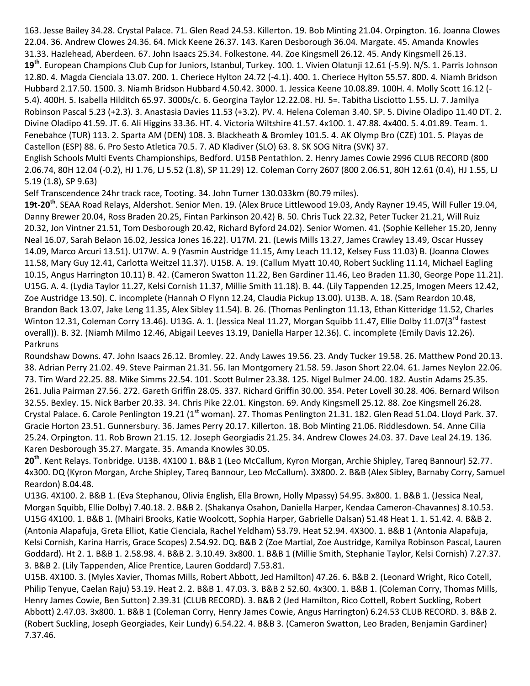163. Jesse Bailey 34.28. Crystal Palace. 71. Glen Read 24.53. Killerton. 19. Bob Minting 21.04. Orpington. 16. Joanna Clowes 22.04. 36. Andrew Clowes 24.36. 64. Mick Keene 26.37. 143. Karen Desborough 36.04. Margate. 45. Amanda Knowles 31.33. Hazlehead, Aberdeen. 67. John Isaacs 25.34. Folkestone. 44. Zoe Kingsmell 26.12. 45. Andy Kingsmell 26.13. **19th**. European Champions Club Cup for Juniors, Istanbul, Turkey. 100. 1. Vivien Olatunji 12.61 (-5.9). N/S. 1. Parris Johnson 12.80. 4. Magda Cienciala 13.07. 200. 1. Cheriece Hylton 24.72 (-4.1). 400. 1. Cheriece Hylton 55.57. 800. 4. Niamh Bridson Hubbard 2.17.50. 1500. 3. Niamh Bridson Hubbard 4.50.42. 3000. 1. Jessica Keene 10.08.89. 100H. 4. Molly Scott 16.12 (- 5.4). 400H. 5. Isabella Hilditch 65.97. 3000s/c. 6. Georgina Taylor 12.22.08. HJ. 5=. Tabitha Lisciotto 1.55. LJ. 7. Jamilya Robinson Pascal 5.23 (+2.3). 3. Anastasia Davies 11.53 (+3.2). PV. 4. Helena Coleman 3.40. SP. 5. Divine Oladipo 11.40 DT. 2. Divine Oladipo 41.59. JT. 6. Ali Higgins 33.36. HT. 4. Victoria Wiltshire 41.57. 4x100. 1. 47.88. 4x400. 5. 4.01.89. Team. 1. Fenebahce (TUR) 113. 2. Sparta AM (DEN) 108. 3. Blackheath & Bromley 101.5. 4. AK Olymp Bro (CZE) 101. 5. Playas de Castellon (ESP) 88. 6. Pro Sesto Atletica 70.5. 7. AD Kladiver (SLO) 63. 8. SK SOG Nitra (SVK) 37.

English Schools Multi Events Championships, Bedford. U15B Pentathlon. 2. Henry James Cowie 2996 CLUB RECORD (800 2.06.74, 80H 12.04 (-0.2), HJ 1.76, LJ 5.52 (1.8), SP 11.29) 12. Coleman Corry 2607 (800 2.06.51, 80H 12.61 (0.4), HJ 1.55, LJ 5.19 (1.8), SP 9.63)

Self Transcendence 24hr track race, Tooting. 34. John Turner 130.033km (80.79 miles).

**19t-20th**. SEAA Road Relays, Aldershot. Senior Men. 19. (Alex Bruce Littlewood 19.03, Andy Rayner 19.45, Will Fuller 19.04, Danny Brewer 20.04, Ross Braden 20.25, Fintan Parkinson 20.42) B. 50. Chris Tuck 22.32, Peter Tucker 21.21, Will Ruiz 20.32, Jon Vintner 21.51, Tom Desborough 20.42, Richard Byford 24.02). Senior Women. 41. (Sophie Kelleher 15.20, Jenny Neal 16.07, Sarah Belaon 16.02, Jessica Jones 16.22). U17M. 21. (Lewis Mills 13.27, James Crawley 13.49, Oscar Hussey 14.09, Marco Arcuri 13.51). U17W. A. 9 (Yasmin Austridge 11.15, Amy Leach 11.12, Kelsey Fuss 11.03) B. (Joanna Clowes 11.58, Mary Guy 12.41, Carlotta Weitzel 11.37). U15B. A. 19. (Callum Myatt 10.40, Robert Suckling 11.14, Michael Eagling 10.15, Angus Harrington 10.11) B. 42. (Cameron Swatton 11.22, Ben Gardiner 11.46, Leo Braden 11.30, George Pope 11.21). U15G. A. 4. (Lydia Taylor 11.27, Kelsi Cornish 11.37, Millie Smith 11.18). B. 44. (Lily Tappenden 12.25, Imogen Meers 12.42, Zoe Austridge 13.50). C. incomplete (Hannah O Flynn 12.24, Claudia Pickup 13.00). U13B. A. 18. (Sam Reardon 10.48, Brandon Back 13.07, Jake Leng 11.35, Alex Sibley 11.54). B. 26. (Thomas Penlington 11.13, Ethan Kitteridge 11.52, Charles Winton 12.31, Coleman Corry 13.46). U13G. A. 1. (Jessica Neal 11.27, Morgan Squibb 11.47, Ellie Dolby 11.07(3<sup>rd</sup> fastest overall)). B. 32. (Niamh Milmo 12.46, Abigail Leeves 13.19, Daniella Harper 12.36). C. incomplete (Emily Davis 12.26). Parkruns

Roundshaw Downs. 47. John Isaacs 26.12. Bromley. 22. Andy Lawes 19.56. 23. Andy Tucker 19.58. 26. Matthew Pond 20.13. 38. Adrian Perry 21.02. 49. Steve Pairman 21.31. 56. Ian Montgomery 21.58. 59. Jason Short 22.04. 61. James Neylon 22.06. 73. Tim Ward 22.25. 88. Mike Simms 22.54. 101. Scott Bulmer 23.38. 125. Nigel Bulmer 24.00. 182. Austin Adams 25.35. 261. Julia Pairman 27.56. 272. Gareth Griffin 28.05. 337. Richard Griffin 30.00. 354. Peter Lovell 30.28. 406. Bernard Wilson 32.55. Bexley. 15. Nick Barber 20.33. 34. Chris Pike 22.01. Kingston. 69. Andy Kingsmell 25.12. 88. Zoe Kingsmell 26.28. Crystal Palace. 6. Carole Penlington 19.21 (1<sup>st</sup> woman). 27. Thomas Penlington 21.31. 182. Glen Read 51.04. Lloyd Park. 37. Gracie Horton 23.51. Gunnersbury. 36. James Perry 20.17. Killerton. 18. Bob Minting 21.06. Riddlesdown. 54. Anne Cilia 25.24. Orpington. 11. Rob Brown 21.15. 12. Joseph Georgiadis 21.25. 34. Andrew Clowes 24.03. 37. Dave Leal 24.19. 136. Karen Desborough 35.27. Margate. 35. Amanda Knowles 30.05.

**20th** . Kent Relays. Tonbridge. U13B. 4X100 1. B&B 1 (Leo McCallum, Kyron Morgan, Archie Shipley, Tareq Bannour) 52.77. 4x300. DQ (Kyron Morgan, Arche Shipley, Tareq Bannour, Leo McCallum). 3X800. 2. B&B (Alex Sibley, Barnaby Corry, Samuel Reardon) 8.04.48.

U13G. 4X100. 2. B&B 1. (Eva Stephanou, Olivia English, Ella Brown, Holly Mpassy) 54.95. 3x800. 1. B&B 1. (Jessica Neal, Morgan Squibb, Ellie Dolby) 7.40.18. 2. B&B 2. (Shakanya Osahon, Daniella Harper, Kendaa Cameron-Chavannes) 8.10.53. U15G 4X100. 1. B&B 1. (Mhairi Brooks, Katie Woolcott, Sophia Harper, Gabrielle Dalsan) 51.48 Heat 1. 1. 51.42. 4. B&B 2. (Antonia Alapafuja, Greta Elliot, Katie Cienciala, Rachel Yeldham) 53.79. Heat 52.94. 4X300. 1. B&B 1 (Antonia Alapafuja, Kelsi Cornish, Karina Harris, Grace Scopes) 2.54.92. DQ. B&B 2 (Zoe Martial, Zoe Austridge, Kamilya Robinson Pascal, Lauren Goddard). Ht 2. 1. B&B 1. 2.58.98. 4. B&B 2. 3.10.49. 3x800. 1. B&B 1 (Millie Smith, Stephanie Taylor, Kelsi Cornish) 7.27.37. 3. B&B 2. (Lily Tappenden, Alice Prentice, Lauren Goddard) 7.53.81.

U15B. 4X100. 3. (Myles Xavier, Thomas Mills, Robert Abbott, Jed Hamilton) 47.26. 6. B&B 2. (Leonard Wright, Rico Cotell, Philip Tenyue, Caelan Raju) 53.19. Heat 2. 2. B&B 1. 47.03. 3. B&B 2 52.60. 4x300. 1. B&B 1. (Coleman Corry, Thomas Mills, Henry James Cowie, Ben Sutton) 2.39.31 (CLUB RECORD). 3. B&B 2 (Jed Hamilton, Rico Cottell, Robert Suckling, Robert Abbott) 2.47.03. 3x800. 1. B&B 1 (Coleman Corry, Henry James Cowie, Angus Harrington) 6.24.53 CLUB RECORD. 3. B&B 2. (Robert Suckling, Joseph Georgiades, Keir Lundy) 6.54.22. 4. B&B 3. (Cameron Swatton, Leo Braden, Benjamin Gardiner) 7.37.46.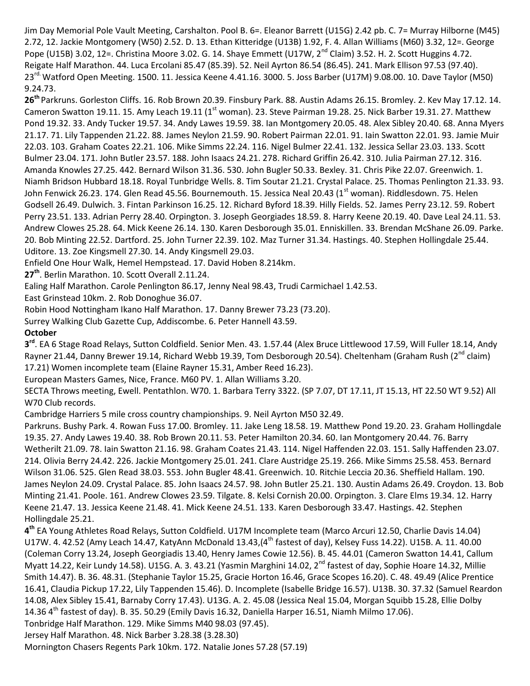Jim Day Memorial Pole Vault Meeting, Carshalton. Pool B. 6=. Eleanor Barrett (U15G) 2.42 pb. C. 7= Murray Hilborne (M45) 2.72, 12. Jackie Montgomery (W50) 2.52. D. 13. Ethan Kitteridge (U13B) 1.92, F. 4. Allan Williams (M60) 3.32, 12=. George Pope (U15B) 3.02, 12=. Christina Moore 3.02. G. 14. Shaye Emmett (U17W, 2<sup>nd</sup> Claim) 3.52. H. 2. Scott Huggins 4.72. Reigate Half Marathon. 44. Luca Ercolani 85.47 (85.39). 52. Neil Ayrton 86.54 (86.45). 241. Mark Ellison 97.53 (97.40). 23<sup>rd.</sup> Watford Open Meeting. 1500. 11. Jessica Keene 4.41.16. 3000. 5. Joss Barber (U17M) 9.08.00. 10. Dave Taylor (M50) 9.24.73.

**26th** Parkruns. Gorleston Cliffs. 16. Rob Brown 20.39. Finsbury Park. 88. Austin Adams 26.15. Bromley. 2. Kev May 17.12. 14. Cameron Swatton 19.11. 15. Amy Leach 19.11 (1<sup>st</sup> woman). 23. Steve Pairman 19.28. 25. Nick Barber 19.31. 27. Matthew Pond 19.32. 33. Andy Tucker 19.57. 34. Andy Lawes 19.59. 38. Ian Montgomery 20.05. 48. Alex Sibley 20.40. 68. Anna Myers 21.17. 71. Lily Tappenden 21.22. 88. James Neylon 21.59. 90. Robert Pairman 22.01. 91. Iain Swatton 22.01. 93. Jamie Muir 22.03. 103. Graham Coates 22.21. 106. Mike Simms 22.24. 116. Nigel Bulmer 22.41. 132. Jessica Sellar 23.03. 133. Scott Bulmer 23.04. 171. John Butler 23.57. 188. John Isaacs 24.21. 278. Richard Griffin 26.42. 310. Julia Pairman 27.12. 316. Amanda Knowles 27.25. 442. Bernard Wilson 31.36. 530. John Bugler 50.33. Bexley. 31. Chris Pike 22.07. Greenwich. 1. Niamh Bridson Hubbard 18.18. Royal Tunbridge Wells. 8. Tim Soutar 21.21. Crystal Palace. 25. Thomas Penlington 21.33. 93. John Fenwick 26.23. 174. Glen Read 45.56. Bournemouth. 15. Jessica Neal 20.43 (1<sup>st</sup> woman). Riddlesdown. 75. Helen Godsell 26.49. Dulwich. 3. Fintan Parkinson 16.25. 12. Richard Byford 18.39. Hilly Fields. 52. James Perry 23.12. 59. Robert Perry 23.51. 133. Adrian Perry 28.40. Orpington. 3. Joseph Georgiades 18.59. 8. Harry Keene 20.19. 40. Dave Leal 24.11. 53. Andrew Clowes 25.28. 64. Mick Keene 26.14. 130. Karen Desborough 35.01. Enniskillen. 33. Brendan McShane 26.09. Parke. 20. Bob Minting 22.52. Dartford. 25. John Turner 22.39. 102. Maz Turner 31.34. Hastings. 40. Stephen Hollingdale 25.44. Uditore. 13. Zoe Kingsmell 27.30. 14. Andy Kingsmell 29.03.

Enfield One Hour Walk, Hemel Hempstead. 17. David Hoben 8.214km.

**27th**. Berlin Marathon. 10. Scott Overall 2.11.24.

Ealing Half Marathon. Carole Penlington 86.17, Jenny Neal 98.43, Trudi Carmichael 1.42.53.

East Grinstead 10km. 2. Rob Donoghue 36.07.

Robin Hood Nottingham Ikano Half Marathon. 17. Danny Brewer 73.23 (73.20).

Surrey Walking Club Gazette Cup, Addiscombe. 6. Peter Hannell 43.59.

### **October**

**3 rd**. EA 6 Stage Road Relays, Sutton Coldfield. Senior Men. 43. 1.57.44 (Alex Bruce Littlewood 17.59, Will Fuller 18.14, Andy Rayner 21.44, Danny Brewer 19.14, Richard Webb 19.39, Tom Desborough 20.54). Cheltenham (Graham Rush (2<sup>nd</sup> claim) 17.21) Women incomplete team (Elaine Rayner 15.31, Amber Reed 16.23).

European Masters Games, Nice, France. M60 PV. 1. Allan Williams 3.20.

SECTA Throws meeting, Ewell. Pentathlon. W70. 1. Barbara Terry 3322. (SP 7.07, DT 17.11, JT 15.13, HT 22.50 WT 9.52) All W70 Club records.

Cambridge Harriers 5 mile cross country championships. 9. Neil Ayrton M50 32.49.

Parkruns. Bushy Park. 4. Rowan Fuss 17.00. Bromley. 11. Jake Leng 18.58. 19. Matthew Pond 19.20. 23. Graham Hollingdale 19.35. 27. Andy Lawes 19.40. 38. Rob Brown 20.11. 53. Peter Hamilton 20.34. 60. Ian Montgomery 20.44. 76. Barry Wetherilt 21.09. 78. Iain Swatton 21.16. 98. Graham Coates 21.43. 114. Nigel Haffenden 22.03. 151. Sally Haffenden 23.07. 214. Olivia Berry 24.42. 226. Jackie Montgomery 25.01. 241. Clare Austridge 25.19. 266. Mike Simms 25.58. 453. Bernard Wilson 31.06. 525. Glen Read 38.03. 553. John Bugler 48.41. Greenwich. 10. Ritchie Leccia 20.36. Sheffield Hallam. 190. James Neylon 24.09. Crystal Palace. 85. John Isaacs 24.57. 98. John Butler 25.21. 130. Austin Adams 26.49. Croydon. 13. Bob Minting 21.41. Poole. 161. Andrew Clowes 23.59. Tilgate. 8. Kelsi Cornish 20.00. Orpington. 3. Clare Elms 19.34. 12. Harry Keene 21.47. 13. Jessica Keene 21.48. 41. Mick Keene 24.51. 133. Karen Desborough 33.47. Hastings. 42. Stephen Hollingdale 25.21.

**4 th** EA Young Athletes Road Relays, Sutton Coldfield. U17M Incomplete team (Marco Arcuri 12.50, Charlie Davis 14.04) U17W. 4. 42.52 (Amy Leach 14.47, KatyAnn McDonald 13.43, (4<sup>th</sup> fastest of day), Kelsey Fuss 14.22). U15B. A. 11. 40.00 (Coleman Corry 13.24, Joseph Georgiadis 13.40, Henry James Cowie 12.56). B. 45. 44.01 (Cameron Swatton 14.41, Callum Myatt 14.22, Keir Lundy 14.58). U15G. A. 3. 43.21 (Yasmin Marghini 14.02, 2<sup>nd</sup> fastest of day, Sophie Hoare 14.32, Millie Smith 14.47). B. 36. 48.31. (Stephanie Taylor 15.25, Gracie Horton 16.46, Grace Scopes 16.20). C. 48. 49.49 (Alice Prentice 16.41, Claudia Pickup 17.22, Lily Tappenden 15.46). D. Incomplete (Isabelle Bridge 16.57). U13B. 30. 37.32 (Samuel Reardon 14.08, Alex Sibley 15.41, Barnaby Corry 17.43). U13G. A. 2. 45.08 (Jessica Neal 15.04, Morgan Squibb 15.28, Ellie Dolby 14.36  $4<sup>th</sup>$  fastest of day). B. 35. 50.29 (Emily Davis 16.32, Daniella Harper 16.51, Niamh Milmo 17.06).

Tonbridge Half Marathon. 129. Mike Simms M40 98.03 (97.45).

Jersey Half Marathon. 48. Nick Barber 3.28.38 (3.28.30)

Mornington Chasers Regents Park 10km. 172. Natalie Jones 57.28 (57.19)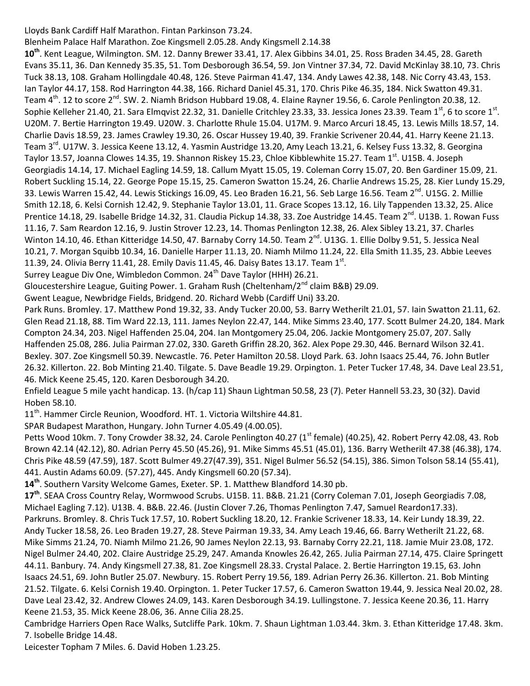Lloyds Bank Cardiff Half Marathon. Fintan Parkinson 73.24.

Blenheim Palace Half Marathon. Zoe Kingsmell 2.05.28. Andy Kingsmell 2.14.38 **10th**. Kent League, Wilmington. SM. 12. Danny Brewer 33.41, 17. Alex Gibbins 34.01, 25. Ross Braden 34.45, 28. Gareth Evans 35.11, 36. Dan Kennedy 35.35, 51. Tom Desborough 36.54, 59. Jon Vintner 37.34, 72. David McKinlay 38.10, 73. Chris Tuck 38.13, 108. Graham Hollingdale 40.48, 126. Steve Pairman 41.47, 134. Andy Lawes 42.38, 148. Nic Corry 43.43, 153. Ian Taylor 44.17, 158. Rod Harrington 44.38, 166. Richard Daniel 45.31, 170. Chris Pike 46.35, 184. Nick Swatton 49.31. Team 4<sup>th</sup>. 12 to score 2<sup>nd</sup>. SW. 2. Niamh Bridson Hubbard 19.08, 4. Elaine Rayner 19.56, 6. Carole Penlington 20.38, 12. Sophie Kelleher 21.40, 21. Sara Elmqvist 22.32, 31. Danielle Critchley 23.33, 33. Jessica Jones 23.39. Team 1<sup>st</sup>, 6 to score 1<sup>st</sup>. U20M. 7. Bertie Harrington 19.49. U20W. 3. Charlotte Rhule 15.04. U17M. 9. Marco Arcuri 18.45, 13. Lewis Mills 18.57, 14. Charlie Davis 18.59, 23. James Crawley 19.30, 26. Oscar Hussey 19.40, 39. Frankie Scrivener 20.44, 41. Harry Keene 21.13. Team 3<sup>rd</sup>. U17W. 3. Jessica Keene 13.12, 4. Yasmin Austridge 13.20, Amy Leach 13.21, 6. Kelsey Fuss 13.32, 8. Georgina Taylor 13.57, Joanna Clowes 14.35, 19. Shannon Riskey 15.23, Chloe Kibblewhite 15.27. Team 1<sup>st</sup>. U15B. 4. Joseph Georgiadis 14.14, 17. Michael Eagling 14.59, 18. Callum Myatt 15.05, 19. Coleman Corry 15.07, 20. Ben Gardiner 15.09, 21. Robert Suckling 15.14, 22. George Pope 15.15, 25. Cameron Swatton 15.24, 26. Charlie Andrews 15.25, 28. Kier Lundy 15.29, 33. Lewis Warren 15.42, 44. Lewis Stickings 16.09, 45. Leo Braden 16.21, 56. Seb Large 16.56. Team 2<sup>nd</sup>. U15G. 2. Millie Smith 12.18, 6. Kelsi Cornish 12.42, 9. Stephanie Taylor 13.01, 11. Grace Scopes 13.12, 16. Lily Tappenden 13.32, 25. Alice Prentice 14.18, 29. Isabelle Bridge 14.32, 31. Claudia Pickup 14.38, 33. Zoe Austridge 14.45. Team 2<sup>nd</sup>. U13B. 1. Rowan Fuss 11.16, 7. Sam Reardon 12.16, 9. Justin Strover 12.23, 14. Thomas Penlington 12.38, 26. Alex Sibley 13.21, 37. Charles Winton 14.10, 46. Ethan Kitteridge 14.50, 47. Barnaby Corry 14.50. Team 2<sup>nd</sup>. U13G. 1. Ellie Dolby 9.51, 5. Jessica Neal 10.21, 7. Morgan Squibb 10.34, 16. Danielle Harper 11.13, 20. Niamh Milmo 11.24, 22. Ella Smith 11.35, 23. Abbie Leeves 11.39, 24. Olivia Berry 11.41, 28. Emily Davis 11.45, 46. Daisy Bates 13.17. Team 1st.

Surrey League Div One, Wimbledon Common. 24<sup>th</sup> Dave Taylor (HHH) 26.21.

Gloucestershire League, Guiting Power. 1. Graham Rush (Cheltenham/2<sup>nd</sup> claim B&B) 29.09.

Gwent League, Newbridge Fields, Bridgend. 20. Richard Webb (Cardiff Uni) 33.20.

Park Runs. Bromley. 17. Matthew Pond 19.32, 33. Andy Tucker 20.00, 53. Barry Wetherilt 21.01, 57. Iain Swatton 21.11, 62. Glen Read 21.18, 88. Tim Ward 22.13, 111. James Neylon 22.47, 144. Mike Simms 23.40, 177. Scott Bulmer 24.20, 184. Mark Compton 24.34, 203. Nigel Haffenden 25.04, 204. Ian Montgomery 25.04, 206. Jackie Montgomery 25.07, 207. Sally Haffenden 25.08, 286. Julia Pairman 27.02, 330. Gareth Griffin 28.20, 362. Alex Pope 29.30, 446. Bernard Wilson 32.41. Bexley. 307. Zoe Kingsmell 50.39. Newcastle. 76. Peter Hamilton 20.58. Lloyd Park. 63. John Isaacs 25.44, 76. John Butler 26.32. Killerton. 22. Bob Minting 21.40. Tilgate. 5. Dave Beadle 19.29. Orpington. 1. Peter Tucker 17.48, 34. Dave Leal 23.51, 46. Mick Keene 25.45, 120. Karen Desborough 34.20.

Enfield League 5 mile yacht handicap. 13. (h/cap 11) Shaun Lightman 50.58, 23 (7). Peter Hannell 53.23, 30 (32). David Hoben 58.10.

11<sup>th</sup>. Hammer Circle Reunion, Woodford. HT. 1. Victoria Wiltshire 44.81.

SPAR Budapest Marathon, Hungary. John Turner 4.05.49 (4.00.05).

Petts Wood 10km. 7. Tony Crowder 38.32, 24. Carole Penlington 40.27 (1<sup>st</sup> female) (40.25), 42. Robert Perry 42.08, 43. Rob Brown 42.14 (42.12), 80. Adrian Perry 45.50 (45.26), 91. Mike Simms 45.51 (45.01), 136. Barry Wetherilt 47.38 (46.38), 174. Chris Pike 48.59 (47.59), 187. Scott Bulmer 49.27(47.39), 351. Nigel Bulmer 56.52 (54.15), 386. Simon Tolson 58.14 (55.41), 441. Austin Adams 60.09. (57.27), 445. Andy Kingsmell 60.20 (57.34).

**14th**. Southern Varsity Welcome Games, Exeter. SP. 1. Matthew Blandford 14.30 pb.

**17th**. SEAA Cross Country Relay, Wormwood Scrubs. U15B. 11. B&B. 21.21 (Corry Coleman 7.01, Joseph Georgiadis 7.08, Michael Eagling 7.12). U13B. 4. B&B. 22.46. (Justin Clover 7.26, Thomas Penlington 7.47, Samuel Reardon17.33). Parkruns. Bromley. 8. Chris Tuck 17.57, 10. Robert Suckling 18.20, 12. Frankie Scrivener 18.33, 14. Keir Lundy 18.39, 22. Andy Tucker 18.58, 26. Leo Braden 19.27, 28. Steve Pairman 19.33, 34. Amy Leach 19.46, 66. Barry Wetherilt 21.22, 68. Mike Simms 21.24, 70. Niamh Milmo 21.26, 90 James Neylon 22.13, 93. Barnaby Corry 22.21, 118. Jamie Muir 23.08, 172. Nigel Bulmer 24.40, 202. Claire Austridge 25.29, 247. Amanda Knowles 26.42, 265. Julia Pairman 27.14, 475. Claire Springett 44.11. Banbury. 74. Andy Kingsmell 27.38, 81. Zoe Kingsmell 28.33. Crystal Palace. 2. Bertie Harrington 19.15, 63. John Isaacs 24.51, 69. John Butler 25.07. Newbury. 15. Robert Perry 19.56, 189. Adrian Perry 26.36. Killerton. 21. Bob Minting 21.52. Tilgate. 6. Kelsi Cornish 19.40. Orpington. 1. Peter Tucker 17.57, 6. Cameron Swatton 19.44, 9. Jessica Neal 20.02, 28. Dave Leal 23.42, 32. Andrew Clowes 24.09, 143. Karen Desborough 34.19. Lullingstone. 7. Jessica Keene 20.36, 11. Harry

Keene 21.53, 35. Mick Keene 28.06, 36. Anne Cilia 28.25.

Cambridge Harriers Open Race Walks, Sutcliffe Park. 10km. 7. Shaun Lightman 1.03.44. 3km. 3. Ethan Kitteridge 17.48. 3km. 7. Isobelle Bridge 14.48.

Leicester Topham 7 Miles. 6. David Hoben 1.23.25.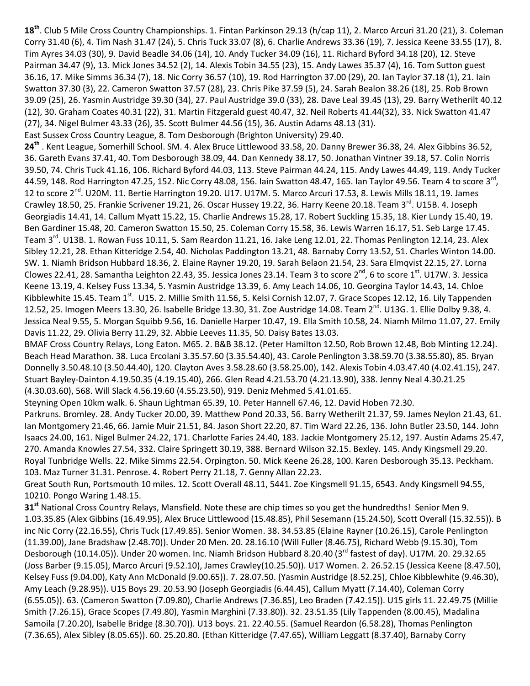**18th**. Club 5 Mile Cross Country Championships. 1. Fintan Parkinson 29.13 (h/cap 11), 2. Marco Arcuri 31.20 (21), 3. Coleman Corry 31.40 (6), 4. Tim Nash 31.47 (24), 5. Chris Tuck 33.07 (8), 6. Charlie Andrews 33.36 (19), 7. Jessica Keene 33.55 (17), 8. Tim Ayres 34.03 (30), 9. David Beadle 34.06 (14), 10. Andy Tucker 34.09 (16), 11. Richard Byford 34.18 (20), 12. Steve Pairman 34.47 (9), 13. Mick Jones 34.52 (2), 14. Alexis Tobin 34.55 (23), 15. Andy Lawes 35.37 (4), 16. Tom Sutton guest 36.16, 17. Mike Simms 36.34 (7), 18. Nic Corry 36.57 (10), 19. Rod Harrington 37.00 (29), 20. Ian Taylor 37.18 (1), 21. Iain Swatton 37.30 (3), 22. Cameron Swatton 37.57 (28), 23. Chris Pike 37.59 (5), 24. Sarah Bealon 38.26 (18), 25. Rob Brown 39.09 (25), 26. Yasmin Austridge 39.30 (34), 27. Paul Austridge 39.0 (33), 28. Dave Leal 39.45 (13), 29. Barry Wetherilt 40.12 (12), 30. Graham Coates 40.31 (22), 31. Martin Fitzgerald guest 40.47, 32. Neil Roberts 41.44(32), 33. Nick Swatton 41.47 (27), 34. Nigel Bulmer 43.33 (26), 35. Scott Bulmer 44.56 (15), 36. Austin Adams 48.13 (31).

East Sussex Cross Country League, 8. Tom Desborough (Brighton University) 29.40.

**24th** . Kent League, Somerhill School. SM. 4. Alex Bruce Littlewood 33.58, 20. Danny Brewer 36.38, 24. Alex Gibbins 36.52, 36. Gareth Evans 37.41, 40. Tom Desborough 38.09, 44. Dan Kennedy 38.17, 50. Jonathan Vintner 39.18, 57. Colin Norris 39.50, 74. Chris Tuck 41.16, 106. Richard Byford 44.03, 113. Steve Pairman 44.24, 115. Andy Lawes 44.49, 119. Andy Tucker 44.59, 148. Rod Harrington 47.25, 152. Nic Corry 48.08, 156. Iain Swatton 48.47, 165. Ian Taylor 49.56. Team 4 to score 3<sup>rd</sup>, 12 to score  $2^{nd}$ . U20M. 11. Bertie Harrington 19.20. U17. U17M. 5. Marco Arcuri 17.53, 8. Lewis Mills 18.11, 19. James Crawley 18.50, 25. Frankie Scrivener 19.21, 26. Oscar Hussey 19.22, 36. Harry Keene 20.18. Team 3<sup>rd</sup>. U15B. 4. Joseph Georgiadis 14.41, 14. Callum Myatt 15.22, 15. Charlie Andrews 15.28, 17. Robert Suckling 15.35, 18. Kier Lundy 15.40, 19. Ben Gardiner 15.48, 20. Cameron Swatton 15.50, 25. Coleman Corry 15.58, 36. Lewis Warren 16.17, 51. Seb Large 17.45. Team 3<sup>rd</sup>. U13B. 1. Rowan Fuss 10.11, 5. Sam Reardon 11.21, 16. Jake Leng 12.01, 22. Thomas Penlington 12.14, 23. Alex Sibley 12.21, 28. Ethan Kitteridge 2.54, 40. Nicholas Paddington 13.21, 48. Barnaby Corry 13.52, 51. Charles Winton 14.00. SW. 1. Niamh Bridson Hubbard 18.36, 2. Elaine Rayner 19.20, 19. Sarah Belaon 21.54, 23. Sara Elmqvist 22.15, 27. Lorna Clowes 22.41, 28. Samantha Leighton 22.43, 35. Jessica Jones 23.14. Team 3 to score  $2^{nd}$ , 6 to score  $1^{st}$ . U17W. 3. Jessica Keene 13.19, 4. Kelsey Fuss 13.34, 5. Yasmin Austridge 13.39, 6. Amy Leach 14.06, 10. Georgina Taylor 14.43, 14. Chloe Kibblewhite 15.45. Team  $1^{\text{st}}$ . U15. 2. Millie Smith 11.56, 5. Kelsi Cornish 12.07, 7. Grace Scopes 12.12, 16. Lily Tappenden 12.52, 25. Imogen Meers 13.30, 26. Isabelle Bridge 13.30, 31. Zoe Austridge 14.08. Team  $2^{nd}$ . U13G. 1. Ellie Dolby 9.38, 4. Jessica Neal 9.55, 5. Morgan Squibb 9.56, 16. Danielle Harper 10.47, 19. Ella Smith 10.58, 24. Niamh Milmo 11.07, 27. Emily Davis 11.22, 29. Olivia Berry 11.29, 32. Abbie Leeves 11.35, 50. Daisy Bates 13.03.

BMAF Cross Country Relays, Long Eaton. M65. 2. B&B 38.12. (Peter Hamilton 12.50, Rob Brown 12.48, Bob Minting 12.24). Beach Head Marathon. 38. Luca Ercolani 3.35.57.60 (3.35.54.40), 43. Carole Penlington 3.38.59.70 (3.38.55.80), 85. Bryan Donnelly 3.50.48.10 (3.50.44.40), 120. Clayton Aves 3.58.28.60 (3.58.25.00), 142. Alexis Tobin 4.03.47.40 (4.02.41.15), 247. Stuart Bayley-Dainton 4.19.50.35 (4.19.15.40), 266. Glen Read 4.21.53.70 (4.21.13.90), 338. Jenny Neal 4.30.21.25 (4.30.03.60), 568. Will Slack 4.56.19.60 (4.55.23.50), 919. Deniz Mehmed 5.41.01.65.

Steyning Open 10km walk. 6. Shaun Lightman 65.39, 10. Peter Hannell 67.46, 12. David Hoben 72.30.

Parkruns. Bromley. 28. Andy Tucker 20.00, 39. Matthew Pond 20.33, 56. Barry Wetherilt 21.37, 59. James Neylon 21.43, 61. Ian Montgomery 21.46, 66. Jamie Muir 21.51, 84. Jason Short 22.20, 87. Tim Ward 22.26, 136. John Butler 23.50, 144. John Isaacs 24.00, 161. Nigel Bulmer 24.22, 171. Charlotte Faries 24.40, 183. Jackie Montgomery 25.12, 197. Austin Adams 25.47, 270. Amanda Knowles 27.54, 332. Claire Springett 30.19, 388. Bernard Wilson 32.15. Bexley. 145. Andy Kingsmell 29.20. Royal Tunbridge Wells. 22. Mike Simms 22.54. Orpington. 50. Mick Keene 26.28, 100. Karen Desborough 35.13. Peckham. 103. Maz Turner 31.31. Penrose. 4. Robert Perry 21.18, 7. Genny Allan 22.23.

Great South Run, Portsmouth 10 miles. 12. Scott Overall 48.11, 5441. Zoe Kingsmell 91.15, 6543. Andy Kingsmell 94.55, 10210. Pongo Waring 1.48.15.

**31st** National Cross Country Relays, Mansfield. Note these are chip times so you get the hundredths! Senior Men 9. 1.03.35.85 (Alex Gibbins (16.49.95), Alex Bruce Littlewood (15.48.85), Phil Sesemann (15.24.50), Scott Overall (15.32.55)). B inc Nic Corry (22.16.55), Chris Tuck (17.49.85). Senior Women. 38. 34.53.85 (Elaine Rayner (10.26.15), Carole Penlington (11.39.00), Jane Bradshaw (2.48.70)). Under 20 Men. 20. 28.16.10 (Will Fuller (8.46.75), Richard Webb (9.15.30), Tom Desborough (10.14.05)). Under 20 women. Inc. Niamh Bridson Hubbard 8.20.40 (3<sup>rd</sup> fastest of day). U17M. 20. 29.32.65 (Joss Barber (9.15.05), Marco Arcuri (9.52.10), James Crawley(10.25.50)). U17 Women. 2. 26.52.15 (Jessica Keene (8.47.50), Kelsey Fuss (9.04.00), Katy Ann McDonald (9.00.65)). 7. 28.07.50. (Yasmin Austridge (8.52.25), Chloe Kibblewhite (9.46.30), Amy Leach (9.28.95)). U15 Boys 29. 20.53.90 (Joseph Georgiadis (6.44.45), Callum Myatt (7.14.40), Coleman Corry (6.55.05)). 63. (Cameron Swatton (7.09.80), Charlie Andrews (7.36.85), Leo Braden (7.42.15)). U15 girls 11. 22.49.75 (Millie Smith (7.26.15), Grace Scopes (7.49.80), Yasmin Marghini (7.33.80)). 32. 23.51.35 (Lily Tappenden (8.00.45), Madalina Samoila (7.20.20), Isabelle Bridge (8.30.70)). U13 boys. 21. 22.40.55. (Samuel Reardon (6.58.28), Thomas Penlington (7.36.65), Alex Sibley (8.05.65)). 60. 25.20.80. (Ethan Kitteridge (7.47.65), William Leggatt (8.37.40), Barnaby Corry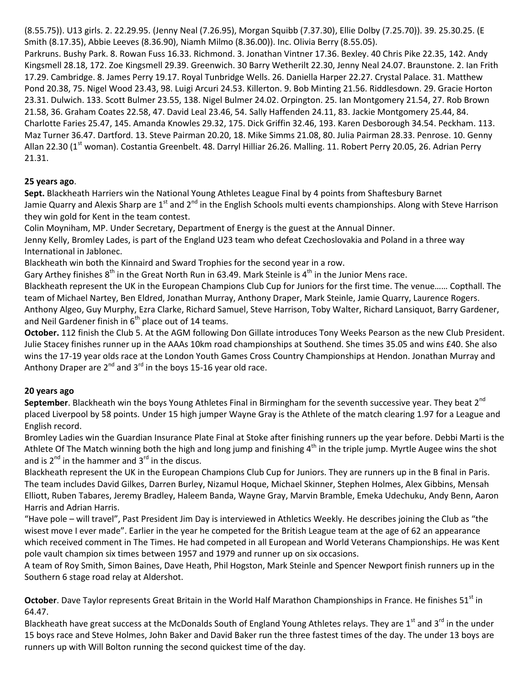(8.55.75)). U13 girls. 2. 22.29.95. (Jenny Neal (7.26.95), Morgan Squibb (7.37.30), Ellie Dolby (7.25.70)). 39. 25.30.25. (E Smith (8.17.35), Abbie Leeves (8.36.90), Niamh Milmo (8.36.00)). Inc. Olivia Berry (8.55.05). Parkruns. Bushy Park. 8. Rowan Fuss 16.33. Richmond. 3. Jonathan Vintner 17.36. Bexley. 40 Chris Pike 22.35, 142. Andy Kingsmell 28.18, 172. Zoe Kingsmell 29.39. Greenwich. 30 Barry Wetherilt 22.30, Jenny Neal 24.07. Braunstone. 2. Ian Frith 17.29. Cambridge. 8. James Perry 19.17. Royal Tunbridge Wells. 26. Daniella Harper 22.27. Crystal Palace. 31. Matthew Pond 20.38, 75. Nigel Wood 23.43, 98. Luigi Arcuri 24.53. Killerton. 9. Bob Minting 21.56. Riddlesdown. 29. Gracie Horton 23.31. Dulwich. 133. Scott Bulmer 23.55, 138. Nigel Bulmer 24.02. Orpington. 25. Ian Montgomery 21.54, 27. Rob Brown 21.58, 36. Graham Coates 22.58, 47. David Leal 23.46, 54. Sally Haffenden 24.11, 83. Jackie Montgomery 25.44, 84. Charlotte Faries 25.47, 145. Amanda Knowles 29.32, 175. Dick Griffin 32.46, 193. Karen Desborough 34.54. Peckham. 113. Maz Turner 36.47. Dartford. 13. Steve Pairman 20.20, 18. Mike Simms 21.08, 80. Julia Pairman 28.33. Penrose. 10. Genny Allan 22.30 (1<sup>st</sup> woman). Costantia Greenbelt. 48. Darryl Hilliar 26.26. Malling. 11. Robert Perry 20.05, 26. Adrian Perry 21.31.

# **25 years ago**.

**Sept.** Blackheath Harriers win the National Young Athletes League Final by 4 points from Shaftesbury Barnet Jamie Quarry and Alexis Sharp are 1<sup>st</sup> and 2<sup>nd</sup> in the English Schools multi events championships. Along with Steve Harrison they win gold for Kent in the team contest.

Colin Moyniham, MP. Under Secretary, Department of Energy is the guest at the Annual Dinner.

Jenny Kelly, Bromley Lades, is part of the England U23 team who defeat Czechoslovakia and Poland in a three way International in Jablonec.

Blackheath win both the Kinnaird and Sward Trophies for the second year in a row.

Gary Arthey finishes  $8^{th}$  in the Great North Run in 63.49. Mark Steinle is  $4^{th}$  in the Junior Mens race.

Blackheath represent the UK in the European Champions Club Cup for Juniors for the first time. The venue…… Copthall. The team of Michael Nartey, Ben Eldred, Jonathan Murray, Anthony Draper, Mark Steinle, Jamie Quarry, Laurence Rogers. Anthony Algeo, Guy Murphy, Ezra Clarke, Richard Samuel, Steve Harrison, Toby Walter, Richard Lansiquot, Barry Gardener, and Neil Gardener finish in  $6<sup>th</sup>$  place out of 14 teams.

**October.** 112 finish the Club 5. At the AGM following Don Gillate introduces Tony Weeks Pearson as the new Club President. Julie Stacey finishes runner up in the AAAs 10km road championships at Southend. She times 35.05 and wins £40. She also wins the 17-19 year olds race at the London Youth Games Cross Country Championships at Hendon. Jonathan Murray and Anthony Draper are  $2^{nd}$  and  $3^{rd}$  in the boys 15-16 year old race.

# **20 years ago**

**September**. Blackheath win the boys Young Athletes Final in Birmingham for the seventh successive year. They beat 2<sup>nd</sup> placed Liverpool by 58 points. Under 15 high jumper Wayne Gray is the Athlete of the match clearing 1.97 for a League and English record.

Bromley Ladies win the Guardian Insurance Plate Final at Stoke after finishing runners up the year before. Debbi Marti is the Athlete Of The Match winning both the high and long jump and finishing  $4^{\text{th}}$  in the triple jump. Myrtle Augee wins the shot and is  $2^{nd}$  in the hammer and  $3^{rd}$  in the discus.

Blackheath represent the UK in the European Champions Club Cup for Juniors. They are runners up in the B final in Paris. The team includes David Gilkes, Darren Burley, Nizamul Hoque, Michael Skinner, Stephen Holmes, Alex Gibbins, Mensah Elliott, Ruben Tabares, Jeremy Bradley, Haleem Banda, Wayne Gray, Marvin Bramble, Emeka Udechuku, Andy Benn, Aaron Harris and Adrian Harris.

"Have pole – will travel", Past President Jim Day is interviewed in Athletics Weekly. He describes joining the Club as "the wisest move I ever made". Earlier in the year he competed for the British League team at the age of 62 an appearance which received comment in The Times. He had competed in all European and World Veterans Championships. He was Kent pole vault champion six times between 1957 and 1979 and runner up on six occasions.

A team of Roy Smith, Simon Baines, Dave Heath, Phil Hogston, Mark Steinle and Spencer Newport finish runners up in the Southern 6 stage road relay at Aldershot.

October. Dave Taylor represents Great Britain in the World Half Marathon Championships in France. He finishes 51<sup>st</sup> in 64.47.

Blackheath have great success at the McDonalds South of England Young Athletes relays. They are 1<sup>st</sup> and 3<sup>rd</sup> in the under 15 boys race and Steve Holmes, John Baker and David Baker run the three fastest times of the day. The under 13 boys are runners up with Will Bolton running the second quickest time of the day.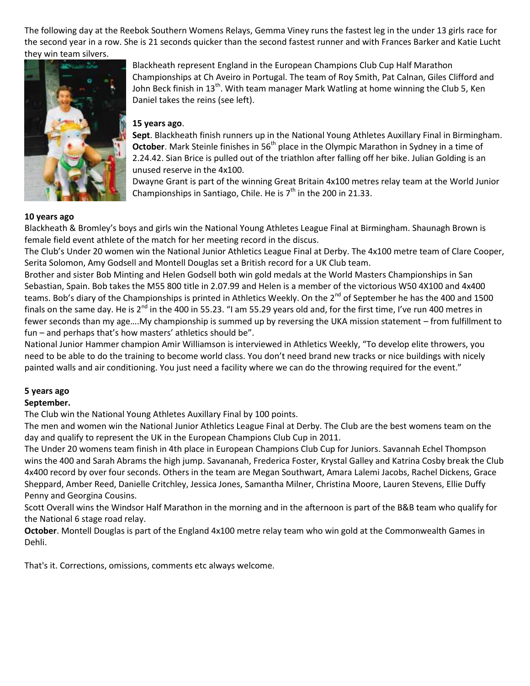The following day at the Reebok Southern Womens Relays, Gemma Viney runs the fastest leg in the under 13 girls race for the second year in a row. She is 21 seconds quicker than the second fastest runner and with Frances Barker and Katie Lucht they win team silvers.



## Blackheath represent England in the European Champions Club Cup Half Marathon Championships at Ch Aveiro in Portugal. The team of Roy Smith, Pat Calnan, Giles Clifford and John Beck finish in 13<sup>th</sup>. With team manager Mark Watling at home winning the Club 5, Ken Daniel takes the reins (see left).

## **15 years ago**.

**Sept**. Blackheath finish runners up in the National Young Athletes Auxillary Final in Birmingham. **October**. Mark Steinle finishes in 56<sup>th</sup> place in the Olympic Marathon in Sydney in a time of 2.24.42. Sian Brice is pulled out of the triathlon after falling off her bike. Julian Golding is an unused reserve in the 4x100.

Dwayne Grant is part of the winning Great Britain 4x100 metres relay team at the World Junior Championships in Santiago, Chile. He is  $7<sup>th</sup>$  in the 200 in 21.33.

#### **10 years ago**

Blackheath & Bromley's boys and girls win the National Young Athletes League Final at Birmingham. Shaunagh Brown is female field event athlete of the match for her meeting record in the discus.

The Club's Under 20 women win the National Junior Athletics League Final at Derby. The 4x100 metre team of Clare Cooper, Serita Solomon, Amy Godsell and Montell Douglas set a British record for a UK Club team.

Brother and sister Bob Minting and Helen Godsell both win gold medals at the World Masters Championships in San Sebastian, Spain. Bob takes the M55 800 title in 2.07.99 and Helen is a member of the victorious W50 4X100 and 4x400 teams. Bob's diary of the Championships is printed in Athletics Weekly. On the 2<sup>nd</sup> of September he has the 400 and 1500 finals on the same day. He is  $2^{nd}$  in the 400 in 55.23. "I am 55.29 years old and, for the first time, I've run 400 metres in fewer seconds than my age….My championship is summed up by reversing the UKA mission statement – from fulfillment to fun – and perhaps that's how masters' athletics should be".

National Junior Hammer champion Amir Williamson is interviewed in Athletics Weekly, "To develop elite throwers, you need to be able to do the training to become world class. You don't need brand new tracks or nice buildings with nicely painted walls and air conditioning. You just need a facility where we can do the throwing required for the event."

### **5 years ago**

## **September.**

The Club win the National Young Athletes Auxillary Final by 100 points.

The men and women win the National Junior Athletics League Final at Derby. The Club are the best womens team on the day and qualify to represent the UK in the European Champions Club Cup in 2011.

The Under 20 womens team finish in 4th place in European Champions Club Cup for Juniors. Savannah Echel Thompson wins the 400 and Sarah Abrams the high jump. Savananah, Frederica Foster, Krystal Galley and Katrina Cosby break the Club 4x400 record by over four seconds. Others in the team are Megan Southwart, Amara Lalemi Jacobs, Rachel Dickens, Grace Sheppard, Amber Reed, Danielle Critchley, Jessica Jones, Samantha Milner, Christina Moore, Lauren Stevens, Ellie Duffy Penny and Georgina Cousins.

Scott Overall wins the Windsor Half Marathon in the morning and in the afternoon is part of the B&B team who qualify for the National 6 stage road relay.

**October**. Montell Douglas is part of the England 4x100 metre relay team who win gold at the Commonwealth Games in Dehli.

That's it. Corrections, omissions, comments etc always welcome.